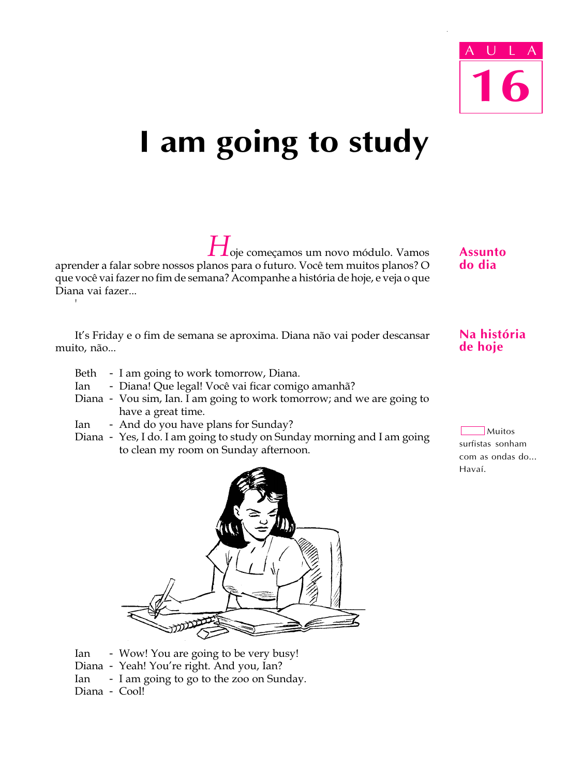# I am going to study

 $\mathbf{\mathcal{I}}$ oje começamos um novo módulo. Vamos aprender a falar sobre nossos planos para o futuro. Você tem muitos planos? O que você vai fazer no fim de semana? Acompanhe a história de hoje, e veja o que Diana vai fazer...

It's Friday e o fim de semana se aproxima. Diana não vai poder descansar muito, não...

- Beth I am going to work tomorrow, Diana.
- Ian Diana! Que legal! Você vai ficar comigo amanhã?
- Diana Vou sim, Ian. I am going to work tomorrow; and we are going to have a great time.
- Ian And do you have plans for Sunday?
- Diana Yes, I do. I am going to study on Sunday morning and I am going to clean my room on Sunday afternoon.



- Ian Wow! You are going to be very busy!
- Diana Yeah! You're right. And you, Ian?
- Ian I am going to go to the zoo on Sunday.
- Diana Cool!

'

**Assunto** do dia

## Na história de hoje

 $\exists$  Muitos surfistas sonham com as ondas do... Havaí.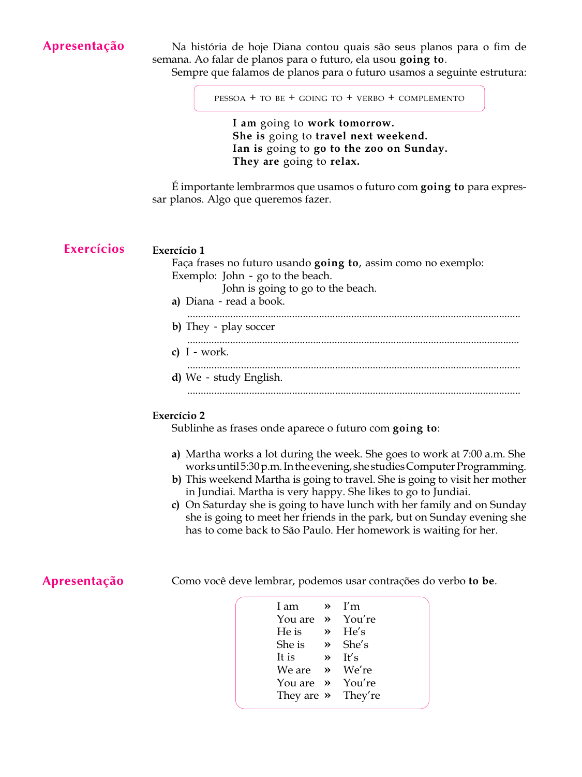## Apresentação

Na história de hoje Diana contou quais são seus planos para o fim de semana. Ao falar de planos para o futuro, ela usou going to.

Sempre que falamos de planos para o futuro usamos a seguinte estrutura:

PESSOA + TO BE + GOING TO + VERBO + COMPLEMENTO

I am going to work tomorrow. She is going to travel next weekend. Ian is going to go to the zoo on Sunday. They are going to relax.

 $\hat{E}$  importante lembrarmos que usamos o futuro com going to para expressar planos. Algo que queremos fazer.

### Exercício 1 Faça frases no futuro usando going to, assim como no exemplo: Exemplo: John - go to the beach. John is going to go to the beach. a) Diana - read a book. ............................................................................................................................ b) They - play soccer ............................................................................................................................ c)  $I - work$ . ............................................................................................................................ d) We - study English. ............................................................................................................................ Exercícios

#### Exercício 2

Sublinhe as frases onde aparece o futuro com going to:

- a) Martha works a lot during the week. She goes to work at 7:00 a.m. She works until 5:30 p.m. In the evening, she studies Computer Programming.
- b) This weekend Martha is going to travel. She is going to visit her mother in Jundiai. Martha is very happy. She likes to go to Jundiai.
- c) On Saturday she is going to have lunch with her family and on Sunday she is going to meet her friends in the park, but on Sunday evening she has to come back to São Paulo. Her homework is waiting for her.

## Apresentação

Como você deve lembrar, podemos usar contrações do verbo to be.

| I am                           | $V^{\prime}$ T'm   |
|--------------------------------|--------------------|
| You are $\rightarrow$ You're   |                    |
| He is                          | $\mathcal{P}$ He's |
| She is $\rightarrow$ She's     |                    |
| It is                          | $\mathcal{V}$ It's |
| We are $\rightarrow$ We're     |                    |
| You are $\rightarrow$ You're   |                    |
| They are $\rightarrow$ They're |                    |
|                                |                    |